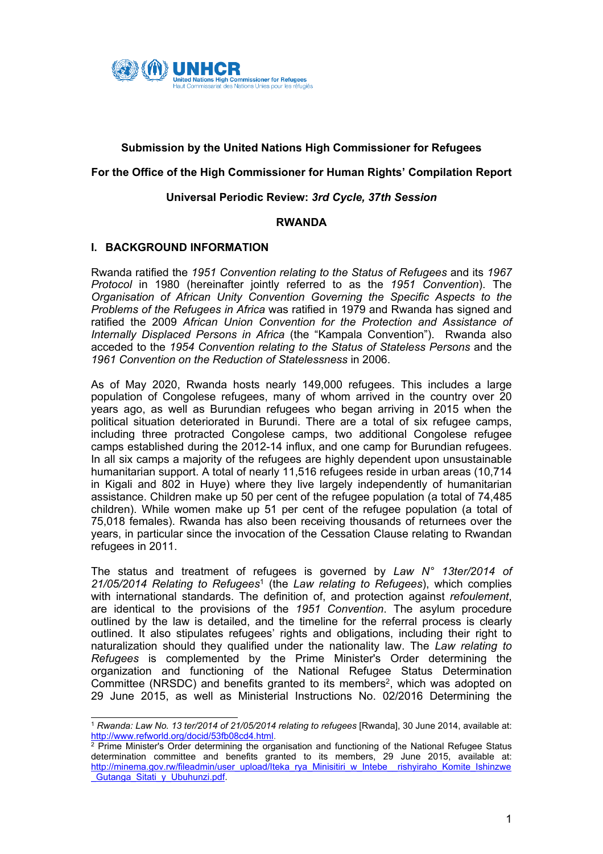

## **Submission by the United Nations High Commissioner for Refugees**

## **For the Office of the High Commissioner for Human Rights' Compilation Report**

### **Universal Periodic Review:** *3rd Cycle, 37th Session*

#### **RWANDA**

#### **I. BACKGROUND INFORMATION**

Rwanda ratified the *1951 Convention relating to the Status of Refugees* and its *1967 Protocol* in 1980 (hereinafter jointly referred to as the *1951 Convention*). The *Organisation of African Unity Convention Governing the Specific Aspects to the Problems of the Refugees in Africa* was ratified in 1979 and Rwanda has signed and ratified the 2009 *African Union Convention for the Protection and Assistance of Internally Displaced Persons in Africa* (the "Kampala Convention"). Rwanda also acceded to the *1954 Convention relating to the Status of Stateless Persons* and the *1961 Convention on the Reduction of Statelessness* in 2006.

As of May 2020, Rwanda hosts nearly 149,000 refugees. This includes <sup>a</sup> large population of Congolese refugees, many of whom arrived in the country over 20 years ago, as well as Burundian refugees who began arriving in 2015 when the political situation deteriorated in Burundi. There are <sup>a</sup> total of six refugee camps, including three protracted Congolese camps, two additional Congolese refugee camps established during the 2012-14 influx, and one camp for Burundian refugees. In all six camps <sup>a</sup> majority of the refugees are highly dependent upon unsustainable humanitarian support. A total of nearly 11,516 refugees reside in urban areas (10,714 in Kigali and 802 in Huye) where they live largely independently of humanitarian assistance. Children make up 50 per cent of the refugee population (a total of 74,485 children). While women make up 51 per cent of the refugee population (a total of 75,018 females). Rwanda has also been receiving thousands of returnees over the years, in particular since the invocation of the Cessation Clause relating to Rwandan refugees in 2011.

The status and treatment of refugees is governed by *Law N° 13ter/2014 of 21/05/2014 Relating to Refugees*<sup>1</sup> (the *Law relating to Refugees*), which complies with international standards. The definition of, and protection against *refoulement*, are identical to the provisions of the *1951 Convention*. The asylum procedure outlined by the law is detailed, and the timeline for the referral process is clearly outlined. It also stipulates refugees' rights and obligations, including their right to naturalization should they qualified under the nationality law. The *Law relating to Refugees* is complemented by the Prime Minister's Order determining the organization and functioning of the National Refugee Status Determination Committee (NRSDC) and benefits granted to its members<sup>2</sup>, which was adopted on 29 June 2015, as well as Ministerial Instructions No. 02/2016 Determining the

<sup>1</sup> *Rwanda: Law No. 13 ter/2014 of 21/05/2014 relating to refugees* [Rwanda], 30 June 2014, available at: <http://www.refworld.org/docid/53fb08cd4.html>.

<sup>2</sup> Prime Minister's Order determining the organisation and functioning of the National Refugee Status determination committee and benefits granted to its members, 29 June 2015, available at: [http://minema.gov.rw/fileadmin/user\\_upload/Iteka\\_rya\\_Minisitiri\\_w\\_Intebe\\_\\_rishyiraho\\_Komite\\_Ishinzwe](http://minema.gov.rw/fileadmin/user_upload/Iteka_rya_Minisitiri_w_Intebe__rishyiraho_Komite_Ishinzwe_Gutanga_Sitati_y_Ubuhunzi.pdf) Gutanga Sitati y Ubuhunzi.pdf.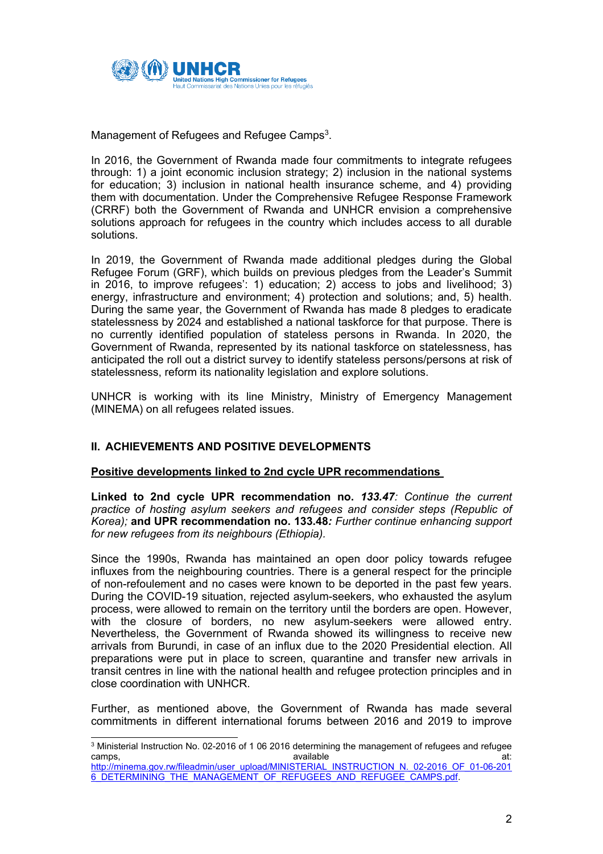

Management of Refugees and Refugee Camps $^3$ .

In 2016, the Government of Rwanda made four commitments to integrate refugees through: 1) <sup>a</sup> joint economic inclusion strategy; 2) inclusion in the national systems for education; 3) inclusion in national health insurance scheme, and 4) providing them with documentation. Under the Comprehensive Refugee Response Framework (CRRF) both the Government of Rwanda and UNHCR envision <sup>a</sup> comprehensive solutions approach for refugees in the country which includes access to all durable solutions.

In 2019, the Government of Rwanda made additional pledges during the Global Refugee Forum (GRF), which builds on previous pledges from the Leader'<sup>s</sup> Summit in 2016, to improve refugees': 1) education; 2) access to jobs and livelihood; 3) energy, infrastructure and environment; 4) protection and solutions; and, 5) health. During the same year, the Government of Rwanda has made 8 pledges to eradicate statelessness by 2024 and established <sup>a</sup> national taskforce for that purpose. There is no currently identified population of stateless persons in Rwanda. In 2020, the Government of Rwanda, represented by its national taskforce on statelessness, has anticipated the roll out <sup>a</sup> district survey to identify stateless persons/persons at risk of statelessness, reform its nationality legislation and explore solutions.

UNHCR is working with its line Ministry, Ministry of Emergency Management (MINEMA) on all refugees related issues.

# **II. ACHIEVEMENTS AND POSITIVE DEVELOPMENTS**

#### **Positive developments linked to 2nd cycle UPR recommendations**

**Linked to 2nd cycle UPR recommendation no.** *133.47: Continue the current practice of hosting asylum seekers and refugees and consider steps (Republic of Korea);* **and UPR recommendation no. 133.48***: Further continue enhancing support for new refugees from its neighbours (Ethiopia).*

Since the 1990s, Rwanda has maintained an open door policy towards refugee influxes from the neighbouring countries. There is <sup>a</sup> general respect for the principle of non-refoulement and no cases were known to be deported in the past few years. During the COVID-19 situation, rejected asylum-seekers, who exhausted the asylum process, were allowed to remain on the territory until the borders are open. However, with the closure of borders, no new asylum-seekers were allowed entry. Nevertheless, the Government of Rwanda showed its willingness to receive new arrivals from Burundi, in case of an influx due to the 2020 Presidential election. All preparations were put in place to screen, quarantine and transfer new arrivals in transit centres in line with the national health and refugee protection principles and in close coordination with UNHCR.

Further, as mentioned above, the Government of Rwanda has made several commitments in different international forums between 2016 and 2019 to improve

<sup>3</sup> Ministerial Instruction No. 02-2016 of 1 06 2016 determining the management of refugees and refugee camps, available at: [http://minema.gov.rw/fileadmin/user\\_upload/MINISTERIAL\\_INSTRUCTION\\_N.\\_02-2016\\_OF\\_01-06-201](http://minema.gov.rw/fileadmin/user_upload/MINISTERIAL_INSTRUCTION_N._02-2016_OF_01-06-2016_DETERMINING_THE_MANAGEMENT_OF_REFUGEES_AND_REFUGEE_CAMPS.pdf) [6\\_DETERMINING\\_THE\\_MANAGEMENT\\_OF\\_REFUGEES\\_AND\\_REFUGEE\\_CAMPS.pdf](http://minema.gov.rw/fileadmin/user_upload/MINISTERIAL_INSTRUCTION_N._02-2016_OF_01-06-2016_DETERMINING_THE_MANAGEMENT_OF_REFUGEES_AND_REFUGEE_CAMPS.pdf).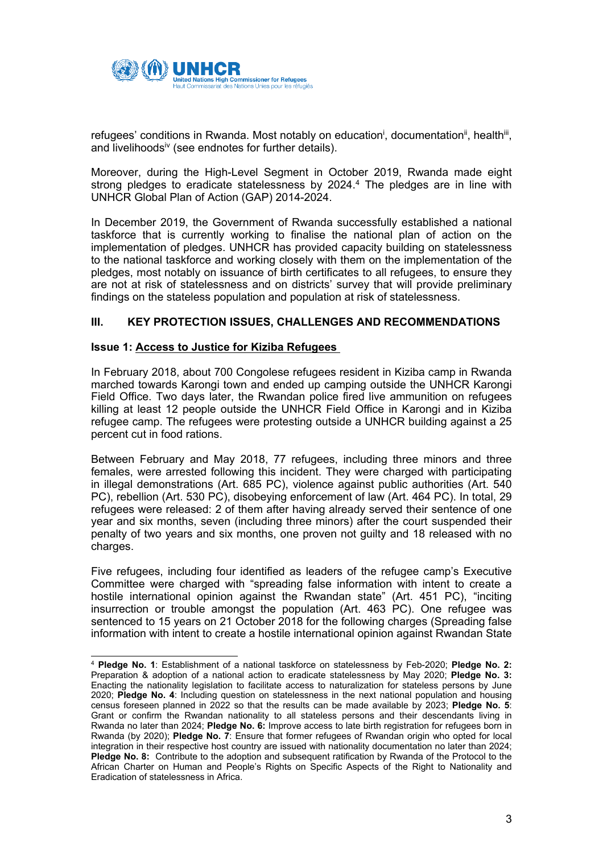

refugees' conditions in Rwanda. Most notably on education<sup>i</sup>, documentation<sup>ii</sup>, health<sup>iii</sup>, and livelihoodsiv (see endnotes for further details).

Moreover, during the High-Level Segment in October 2019, Rwanda made eight strong pledges to eradicate statelessness by 2024. 4 The pledges are in line with UNHCR Global Plan of Action (GAP) 2014-2024.

In December 2019, the Government of Rwanda successfully established <sup>a</sup> national taskforce that is currently working to finalise the national plan of action on the implementation of pledges. UNHCR has provided capacity building on statelessness to the national taskforce and working closely with them on the implementation of the pledges, most notably on issuance of birth certificates to all refugees, to ensure they are not at risk of statelessness and on districts' survey that will provide preliminary findings on the stateless population and population at risk of statelessness.

## **III. KEY PROTECTION ISSUES, CHALLENGES AND RECOMMENDATIONS**

#### **Issue 1: Access to Justice for Kiziba Refugees**

In February 2018, about 700 Congolese refugees resident in Kiziba camp in Rwanda marched towards Karongi town and ended up camping outside the UNHCR Karongi Field Office. Two days later, the Rwandan police fired live ammunition on refugees killing at least 12 people outside the UNHCR Field Office in Karongi and in Kiziba refugee camp. The refugees were protesting outside <sup>a</sup> UNHCR building against <sup>a</sup> 25 percent cut in food rations.

Between February and May 2018, 77 refugees, including three minors and three females, were arrested following this incident. They were charged with participating in illegal demonstrations (Art. 685 PC), violence against public authorities (Art. 540 PC), rebellion (Art. 530 PC), disobeying enforcement of law (Art. 464 PC). In total, 29 refugees were released: 2 of them after having already served their sentence of one year and six months, seven (including three minors) after the court suspended their penalty of two years and six months, one proven not guilty and 18 released with no charges.

Five refugees, including four identified as leaders of the refugee camp'<sup>s</sup> Executive Committee were charged with "spreading false information with intent to create <sup>a</sup> hostile international opinion against the Rwandan state" (Art. 451 PC), "inciting insurrection or trouble amongst the population (Art. 463 PC). One refugee was sentenced to 15 years on 21 October 2018 for the following charges (Spreading false information with intent to create <sup>a</sup> hostile international opinion against Rwandan State

<sup>4</sup> **Pledge No. 1**: Establishment of <sup>a</sup> national taskforce on statelessness by Feb-2020; **Pledge No. 2:** Preparation & adoption of <sup>a</sup> national action to eradicate statelessness by May 2020; **Pledge No. 3:** Enacting the nationality legislation to facilitate access to naturalization for stateless persons by June 2020; **Pledge No. 4**: Including question on statelessness in the next national population and housing census foreseen planned in 2022 so that the results can be made available by 2023; **Pledge No. 5**: Grant or confirm the Rwandan nationality to all stateless persons and their descendants living in Rwanda no later than 2024; **Pledge No. 6:** Improve access to late birth registration for refugees born in Rwanda (by 2020); **Pledge No. 7**: Ensure that former refugees of Rwandan origin who opted for local integration in their respective host country are issued with nationality documentation no later than 2024; **Pledge No. 8:** Contribute to the adoption and subsequent ratification by Rwanda of the Protocol to the African Charter on Human and People'<sup>s</sup> Rights on Specific Aspects of the Right to Nationality and Eradication of statelessness in Africa.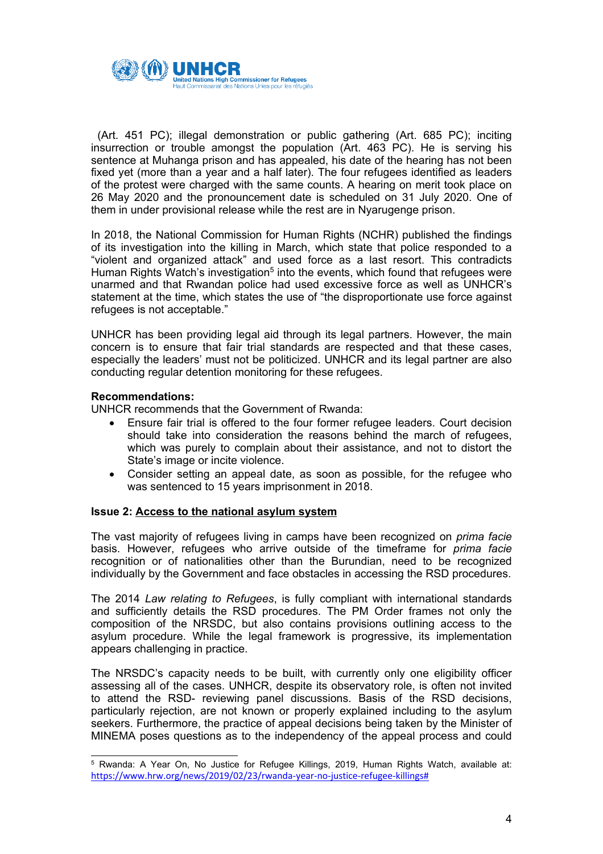

(Art. 451 PC); illegal demonstration or public gathering (Art. 685 PC); inciting insurrection or trouble amongst the population (Art. 463 PC). He is serving his sentence at Muhanga prison and has appealed, his date of the hearing has not been fixed yet (more than <sup>a</sup> year and <sup>a</sup> half later). The four refugees identified as leaders of the protest were charged with the same counts. A hearing on merit took place on 26 May 2020 and the pronouncement date is scheduled on 31 July 2020. One of them in under provisional release while the rest are in Nyarugenge prison.

In 2018, the National Commission for Human Rights (NCHR) published the findings of its investigation into the killing in March, which state that police responded to <sup>a</sup> "violent and organized attack" and used force as <sup>a</sup> last resort. This contradicts Human Rights Watch's investigation<sup>5</sup> into the events, which found that refugees were unarmed and that Rwandan police had used excessive force as well as UNHCR'<sup>s</sup> statement at the time, which states the use of "the disproportionate use force against refugees is not acceptable."

UNHCR has been providing legal aid through its legal partners. However, the main concern is to ensure that fair trial standards are respected and that these cases, especially the leaders' must not be politicized. UNHCR and its legal partner are also conducting regular detention monitoring for these refugees.

## **Recommendations:**

UNHCR recommends that the Government of Rwanda:

- 0 Ensure fair trial is offered to the four former refugee leaders. Court decision should take into consideration the reasons behind the march of refugees, which was purely to complain about their assistance, and not to distort the State'<sup>s</sup> image or incite violence.
- Consider setting an appeal date, as soon as possible, for the refugee who was sentenced to 15 years imprisonment in 2018.

#### **Issue 2: Access to the national asylum system**

The vast majority of refugees living in camps have been recognized on *prima facie* basis. However, refugees who arrive outside of the timeframe for *prima facie* recognition or of nationalities other than the Burundian, need to be recognized individually by the Government and face obstacles in accessing the RSD procedures.

The 2014 *Law relating to Refugees*, is fully compliant with international standards and sufficiently details the RSD procedures. The PM Order frames not only the composition of the NRSDC, but also contains provisions outlining access to the asylum procedure. While the legal framework is progressive, its implementation appears challenging in practice.

The NRSDC'<sup>s</sup> capacity needs to be built, with currently only one eligibility officer assessing all of the cases. UNHCR, despite its observatory role, is often not invited to attend the RSD- reviewing panel discussions. Basis of the RSD decisions, particularly rejection, are not known or properly explained including to the asylum seekers. Furthermore, the practice of appeal decisions being taken by the Minister of MINEMA poses questions as to the independency of the appeal process and could

<sup>5</sup> Rwanda: A Year On, No Justice for Refugee Killings, 2019, Human Rights Watch, available at: [https://www.hrw.org/news/2019/02/23/rwanda-year-no-justice-refugee-killings#](https://www.hrw.org/news/2019/02/23/rwanda-year-no-justice-refugee-killings)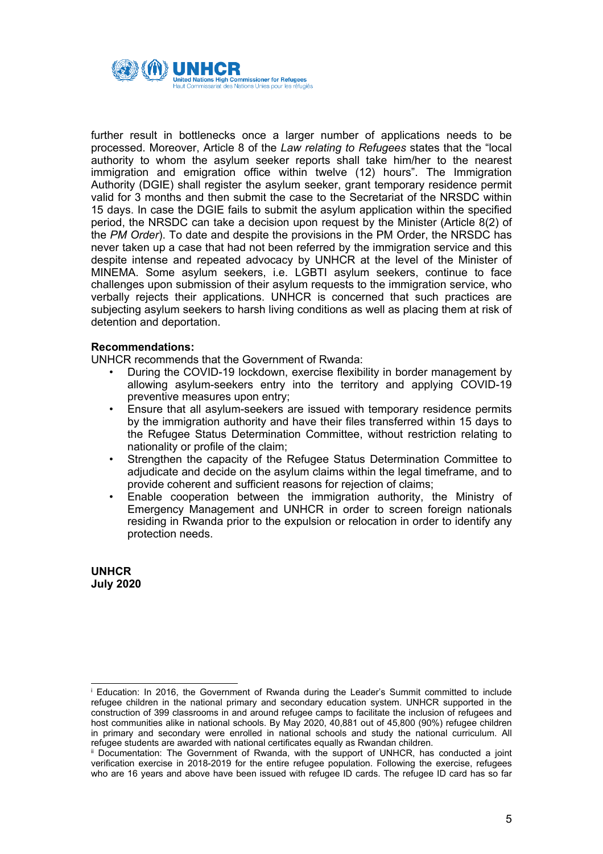

further result in bottlenecks once <sup>a</sup> larger number of applications needs to be processed. Moreover, Article 8 of the *Law relating to Refugees* states that the "local authority to whom the asylum seeker reports shall take him/her to the nearest immigration and emigration office within twelve (12) hours". The Immigration Authority (DGIE) shall register the asylum seeker, grant temporary residence permit valid for 3 months and then submit the case to the Secretariat of the NRSDC within 15 days. In case the DGIE fails to submit the asylum application within the specified period, the NRSDC can take <sup>a</sup> decision upon request by the Minister (Article 8(2) of the *PM Order*). To date and despite the provisions in the PM Order, the NRSDC has never taken up <sup>a</sup> case that had not been referred by the immigration service and this despite intense and repeated advocacy by UNHCR at the level of the Minister of MINEMA. Some asylum seekers, i.e. LGBTI asylum seekers, continue to face challenges upon submission of their asylum requests to the immigration service, who verbally rejects their applications. UNHCR is concerned that such practices are subjecting asylum seekers to harsh living conditions as well as placing them at risk of detention and deportation.

#### **Recommendations:**

UNHCR recommends that the Government of Rwanda:

- • During the COVID-19 lockdown, exercise flexibility in border management by allowing asylum-seekers entry into the territory and applying COVID-19 preventive measures upon entry;
- • Ensure that all asylum-seekers are issued with temporary residence permits by the immigration authority and have their files transferred within 15 days to the Refugee Status Determination Committee, without restriction relating to nationality or profile of the claim;
- • Strengthen the capacity of the Refugee Status Determination Committee to adjudicate and decide on the asylum claims within the legal timeframe, and to provide coherent and sufficient reasons for rejection of claims;
- • Enable cooperation between the immigration authority, the Ministry of Emergency Management and UNHCR in order to screen foreign nationals residing in Rwanda prior to the expulsion or relocation in order to identify any protection needs.

**UNHCR July 2020**

<sup>i</sup> Education: In 2016, the Government of Rwanda during the Leader'<sup>s</sup> Summit committed to include refugee children in the national primary and secondary education system. UNHCR supported in the construction of 399 classrooms in and around refugee camps to facilitate the inclusion of refugees and host communities alike in national schools. By May 2020, 40,881 out of 45,800 (90%) refugee children in primary and secondary were enrolled in national schools and study the national curriculum. All refugee students are awarded with national certificates equally as Rwandan children.

ii Documentation: The Government of Rwanda, with the support of UNHCR, has conducted <sup>a</sup> joint verification exercise in 2018-2019 for the entire refugee population. Following the exercise, refugees who are 16 years and above have been issued with refugee ID cards. The refugee ID card has so far